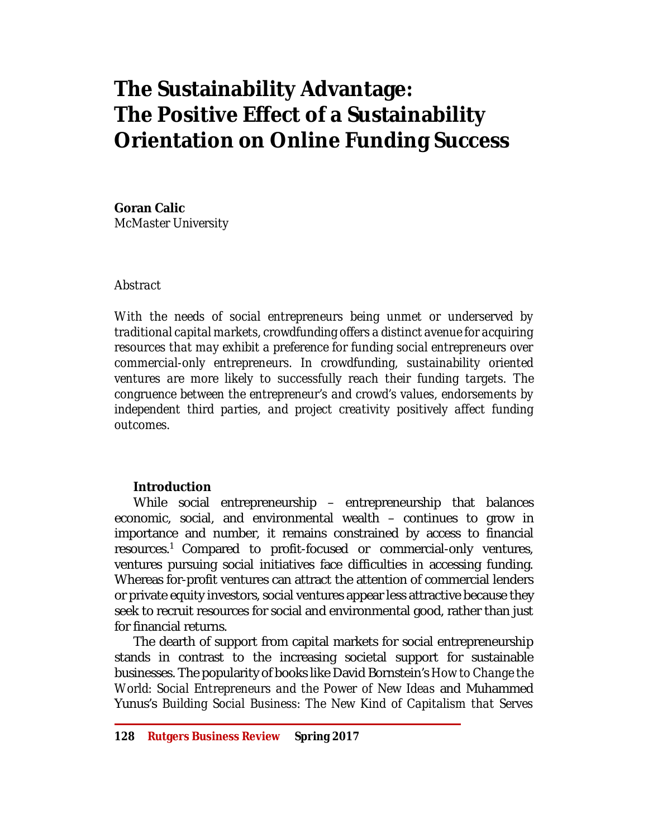# **The Sustainability Advantage: The Positive Effect of a Sustainability Orientation on Online Funding Success**

## **Goran Calic**

*McMaster University*

## *Abstract*

*With the needs of social entrepreneurs being unmet or underserved by traditional capital markets, crowdfunding offers a distinct avenue for acquiring resources that may exhibit a preference for funding social entrepreneurs over commercial-only entrepreneurs. In crowdfunding, sustainability oriented ventures are more likely to successfully reach their funding targets. The congruence between the entrepreneur's and crowd's values, endorsements by independent third parties, and project creativity positively affect funding outcomes.* 

## **Introduction**

While social entrepreneurship – entrepreneurship that balances economic, social, and environmental wealth – continues to grow in importance and number, it remains constrained by access to financial resources.<sup>1</sup> Compared to profit-focused or commercial-only ventures, ventures pursuing social initiatives face difficulties in accessing funding. Whereas for-profit ventures can attract the attention of commercial lenders or private equity investors, social ventures appear less attractive because they seek to recruit resources for social and environmental good, rather than just for financial returns.

The dearth of support from capital markets for social entrepreneurship stands in contrast to the increasing societal support for sustainable businesses. The popularity of books like David Bornstein's *How to Change the World: Social Entrepreneurs and the Power of New Ideas* and Muhammed Yunus's *Building Social Business: The New Kind of Capitalism that Serves*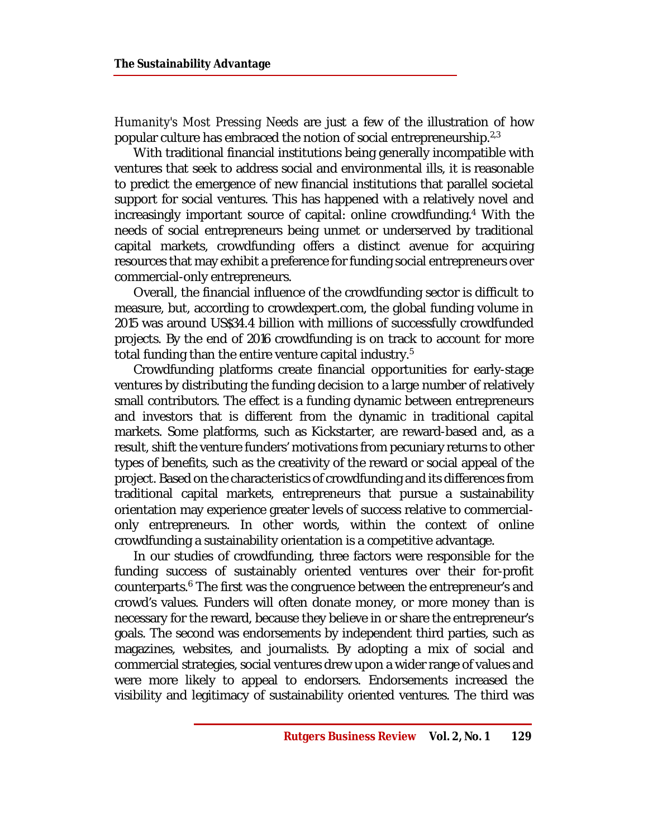*Humanity's Most Pressing Needs* are just a few of the illustration of how popular culture has embraced the notion of social entrepreneurship.<sup>2,3</sup>

With traditional financial institutions being generally incompatible with ventures that seek to address social and environmental ills, it is reasonable to predict the emergence of new financial institutions that parallel societal support for social ventures. This has happened with a relatively novel and increasingly important source of capital: online crowdfunding.<sup>4</sup> With the needs of social entrepreneurs being unmet or underserved by traditional capital markets, crowdfunding offers a distinct avenue for acquiring resources that may exhibit a preference for funding social entrepreneurs over commercial-only entrepreneurs.

Overall, the financial influence of the crowdfunding sector is difficult to measure, but, according to crowdexpert.com, the global funding volume in 2015 was around US\$34.4 billion with millions of successfully crowdfunded projects. By the end of 2016 crowdfunding is on track to account for more total funding than the entire venture capital industry.<sup>5</sup>

Crowdfunding platforms create financial opportunities for early-stage ventures by distributing the funding decision to a large number of relatively small contributors. The effect is a funding dynamic between entrepreneurs and investors that is different from the dynamic in traditional capital markets. Some platforms, such as Kickstarter, are reward-based and, as a result, shift the venture funders' motivations from pecuniary returns to other types of benefits, such as the creativity of the reward or social appeal of the project. Based on the characteristics of crowdfunding and its differences from traditional capital markets, entrepreneurs that pursue a sustainability orientation may experience greater levels of success relative to commercialonly entrepreneurs. In other words, within the context of online crowdfunding a sustainability orientation is a competitive advantage.

In our studies of crowdfunding, three factors were responsible for the funding success of sustainably oriented ventures over their for-profit counterparts.<sup>6</sup> The first was the congruence between the entrepreneur's and crowd's values. Funders will often donate money, or more money than is necessary for the reward, because they believe in or share the entrepreneur's goals. The second was endorsements by independent third parties, such as magazines, websites, and journalists. By adopting a mix of social and commercial strategies, social ventures drew upon a wider range of values and were more likely to appeal to endorsers. Endorsements increased the visibility and legitimacy of sustainability oriented ventures. The third was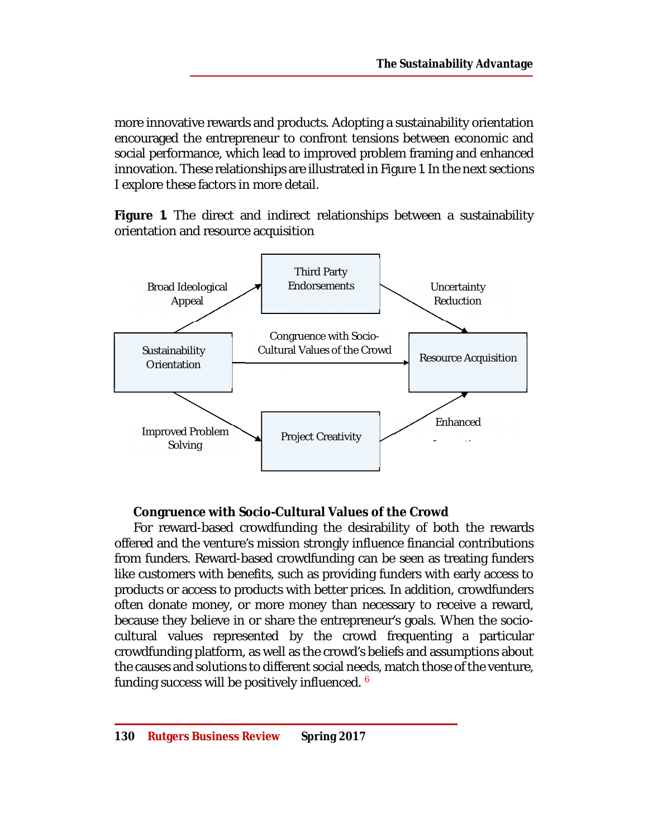more innovative rewards and products. Adopting a sustainability orientation encouraged the entrepreneur to confront tensions between economic and social performance, which lead to improved problem framing and enhanced innovation. These relationships are illustrated in Figure 1. In the next sections I explore these factors in more detail.

**Figure 1.** The direct and indirect relationships between a sustainability orientation and resource acquisition



## **Congruence with Socio-Cultural Values of the Crowd**

For reward-based crowdfunding the desirability of both the rewards offered and the venture's mission strongly influence financial contributions from funders. Reward-based crowdfunding can be seen as treating funders like customers with benefits, such as providing funders with early access to products or access to products with better prices. In addition, crowdfunders often donate money, or more money than necessary to receive a reward, because they believe in or share the entrepreneur's goals. When the sociocultural values represented by the crowd frequenting a particular crowdfunding platform, as well as the crowd's beliefs and assumptions about the causes and solutions to different social needs, match those of the venture, funding success will be positively influenced. <sup>6</sup>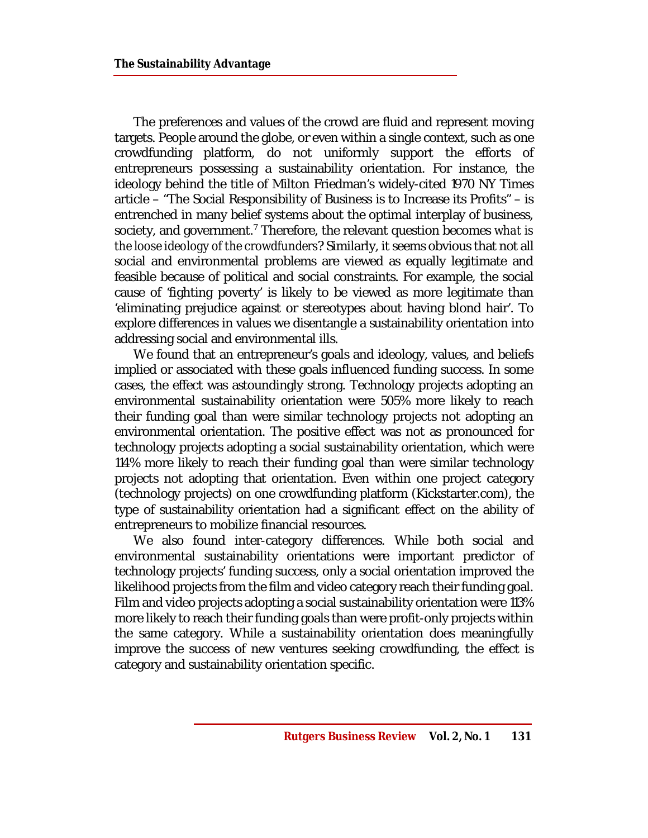The preferences and values of the crowd are fluid and represent moving targets. People around the globe, or even within a single context, such as one crowdfunding platform, do not uniformly support the efforts of entrepreneurs possessing a sustainability orientation. For instance, the ideology behind the title of Milton Friedman's widely-cited 1970 NY Times article – "The Social Responsibility of Business is to Increase its Profits" – is entrenched in many belief systems about the optimal interplay of business, society, and government.<sup>7</sup> Therefore, the relevant question becomes *what is the loose ideology of the crowdfunders*? Similarly, it seems obvious that not all social and environmental problems are viewed as equally legitimate and feasible because of political and social constraints. For example, the social cause of 'fighting poverty' is likely to be viewed as more legitimate than 'eliminating prejudice against or stereotypes about having blond hair'. To explore differences in values we disentangle a sustainability orientation into addressing social and environmental ills.

We found that an entrepreneur's goals and ideology, values, and beliefs implied or associated with these goals influenced funding success. In some cases, the effect was astoundingly strong. Technology projects adopting an environmental sustainability orientation were 505% more likely to reach their funding goal than were similar technology projects not adopting an environmental orientation. The positive effect was not as pronounced for technology projects adopting a social sustainability orientation, which were 114% more likely to reach their funding goal than were similar technology projects not adopting that orientation. Even within one project category (technology projects) on one crowdfunding platform (Kickstarter.com), the type of sustainability orientation had a significant effect on the ability of entrepreneurs to mobilize financial resources.

We also found inter-category differences. While both social and environmental sustainability orientations were important predictor of technology projects' funding success, only a social orientation improved the likelihood projects from the film and video category reach their funding goal. Film and video projects adopting a social sustainability orientation were 113% more likely to reach their funding goals than were profit-only projects within the same category. While a sustainability orientation does meaningfully improve the success of new ventures seeking crowdfunding, the effect is category and sustainability orientation specific.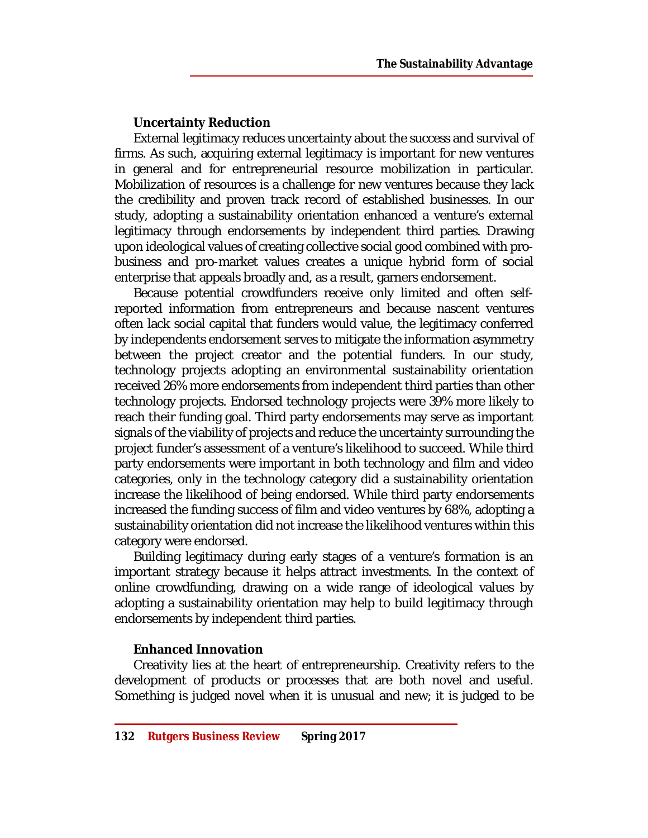## **Uncertainty Reduction**

External legitimacy reduces uncertainty about the success and survival of firms. As such, acquiring external legitimacy is important for new ventures in general and for entrepreneurial resource mobilization in particular. Mobilization of resources is a challenge for new ventures because they lack the credibility and proven track record of established businesses. In our study, adopting a sustainability orientation enhanced a venture's external legitimacy through endorsements by independent third parties. Drawing upon ideological values of creating collective social good combined with probusiness and pro-market values creates a unique hybrid form of social enterprise that appeals broadly and, as a result, garners endorsement.

Because potential crowdfunders receive only limited and often selfreported information from entrepreneurs and because nascent ventures often lack social capital that funders would value, the legitimacy conferred by independents endorsement serves to mitigate the information asymmetry between the project creator and the potential funders. In our study, technology projects adopting an environmental sustainability orientation received 26% more endorsements from independent third parties than other technology projects. Endorsed technology projects were 39% more likely to reach their funding goal. Third party endorsements may serve as important signals of the viability of projects and reduce the uncertainty surrounding the project funder's assessment of a venture's likelihood to succeed. While third party endorsements were important in both technology and film and video categories, only in the technology category did a sustainability orientation increase the likelihood of being endorsed. While third party endorsements increased the funding success of film and video ventures by 68%, adopting a sustainability orientation did not increase the likelihood ventures within this category were endorsed.

Building legitimacy during early stages of a venture's formation is an important strategy because it helps attract investments. In the context of online crowdfunding, drawing on a wide range of ideological values by adopting a sustainability orientation may help to build legitimacy through endorsements by independent third parties.

## **Enhanced Innovation**

Creativity lies at the heart of entrepreneurship. Creativity refers to the development of products or processes that are both novel and useful. Something is judged novel when it is unusual and new; it is judged to be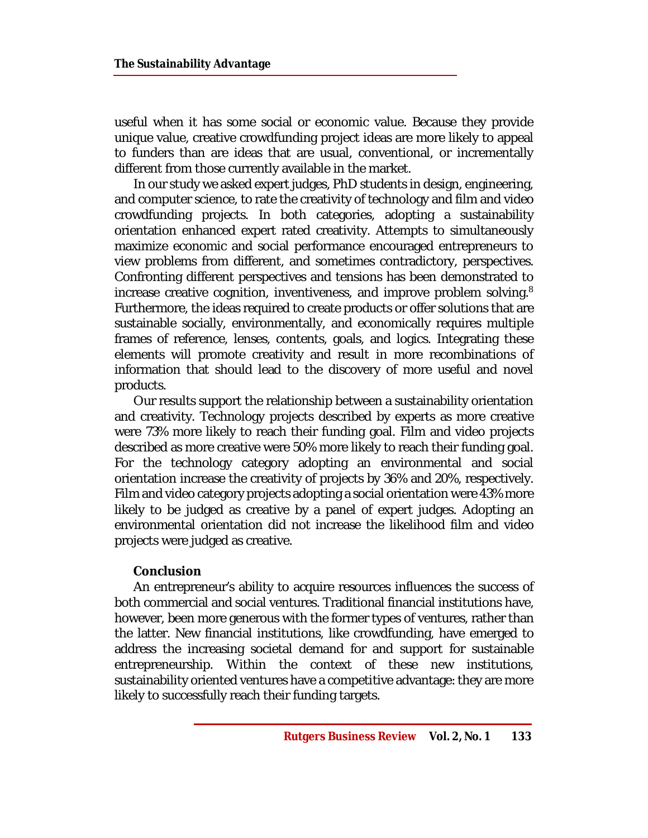useful when it has some social or economic value. Because they provide unique value, creative crowdfunding project ideas are more likely to appeal to funders than are ideas that are usual, conventional, or incrementally different from those currently available in the market.

In our study we asked expert judges, PhD students in design, engineering, and computer science, to rate the creativity of technology and film and video crowdfunding projects. In both categories, adopting a sustainability orientation enhanced expert rated creativity. Attempts to simultaneously maximize economic and social performance encouraged entrepreneurs to view problems from different, and sometimes contradictory, perspectives. Confronting different perspectives and tensions has been demonstrated to increase creative cognition, inventiveness, and improve problem solving.<sup>8</sup> Furthermore, the ideas required to create products or offer solutions that are sustainable socially, environmentally, and economically requires multiple frames of reference, lenses, contents, goals, and logics. Integrating these elements will promote creativity and result in more recombinations of information that should lead to the discovery of more useful and novel products.

Our results support the relationship between a sustainability orientation and creativity. Technology projects described by experts as more creative were 73% more likely to reach their funding goal. Film and video projects described as more creative were 50% more likely to reach their funding goal. For the technology category adopting an environmental and social orientation increase the creativity of projects by 36% and 20%, respectively. Film and video category projects adopting a social orientation were 43% more likely to be judged as creative by a panel of expert judges. Adopting an environmental orientation did not increase the likelihood film and video projects were judged as creative.

#### **Conclusion**

An entrepreneur's ability to acquire resources influences the success of both commercial and social ventures. Traditional financial institutions have, however, been more generous with the former types of ventures, rather than the latter. New financial institutions, like crowdfunding, have emerged to address the increasing societal demand for and support for sustainable entrepreneurship. Within the context of these new institutions, sustainability oriented ventures have a competitive advantage: they are more likely to successfully reach their funding targets.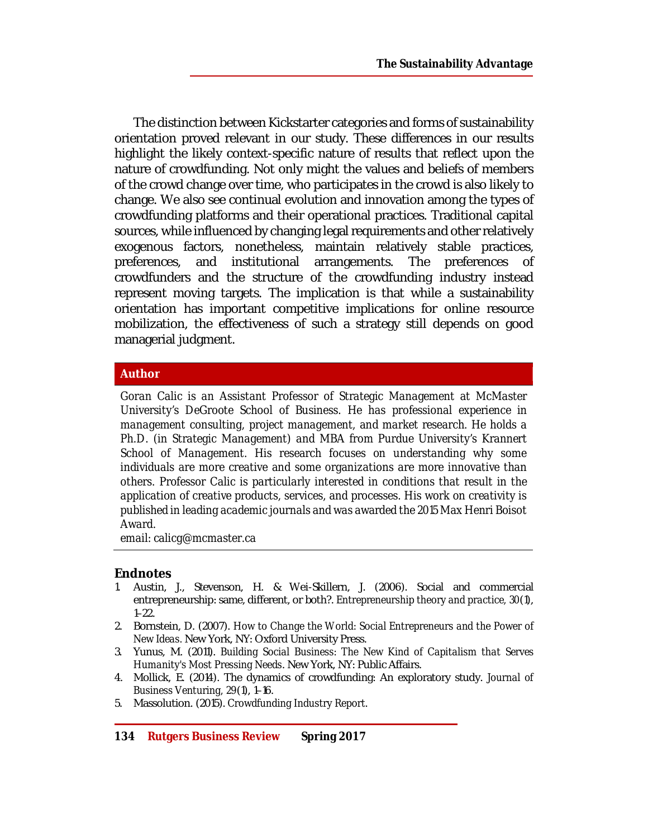The distinction between Kickstarter categories and forms of sustainability orientation proved relevant in our study. These differences in our results highlight the likely context-specific nature of results that reflect upon the nature of crowdfunding. Not only might the values and beliefs of members of the crowd change over time, who participates in the crowd is also likely to change. We also see continual evolution and innovation among the types of crowdfunding platforms and their operational practices. Traditional capital sources, while influenced by changing legal requirements and other relatively exogenous factors, nonetheless, maintain relatively stable practices, preferences, and institutional arrangements. The preferences of crowdfunders and the structure of the crowdfunding industry instead represent moving targets. The implication is that while a sustainability orientation has important competitive implications for online resource mobilization, the effectiveness of such a strategy still depends on good managerial judgment.

## **Author**

*Goran Calic is an Assistant Professor of Strategic Management at McMaster University's DeGroote School of Business. He has professional experience in management consulting, project management, and market research. He holds a Ph.D. (in Strategic Management) and MBA from Purdue University's Krannert School of Management. His research focuses on understanding why some individuals are more creative and some organizations are more innovative than others. Professor Calic is particularly interested in conditions that result in the application of creative products, services, and processes. His work on creativity is published in leading academic journals and was awarded the 2015 Max Henri Boisot Award.*

*email: [calicg@mcmaster.ca](mailto:calicg@mcmaster.ca)*

#### **Endnotes**

- 1. Austin, J., Stevenson, H. & Wei-Skillern, J. (2006). Social and commercial entrepreneurship: same, different, or both?. *Entrepreneurship theory and practice, 30*(1), 1–22.
- 2. Bornstein, D. (2007). *How to Change the World: Social Entrepreneurs and the Power of New Ideas.* New York, NY: Oxford University Press.
- 3. Yunus, M. (2011). *Building Social Business: The New Kind of Capitalism that Serves Humanity's Most Pressing Needs*. New York, NY: Public Affairs.
- 4. Mollick, E. (2014). The dynamics of crowdfunding: An exploratory study. *Journal of Business Venturing, 29*(1), 1–16.
- 5. Massolution. (2015). *Crowdfunding Industry Report*.